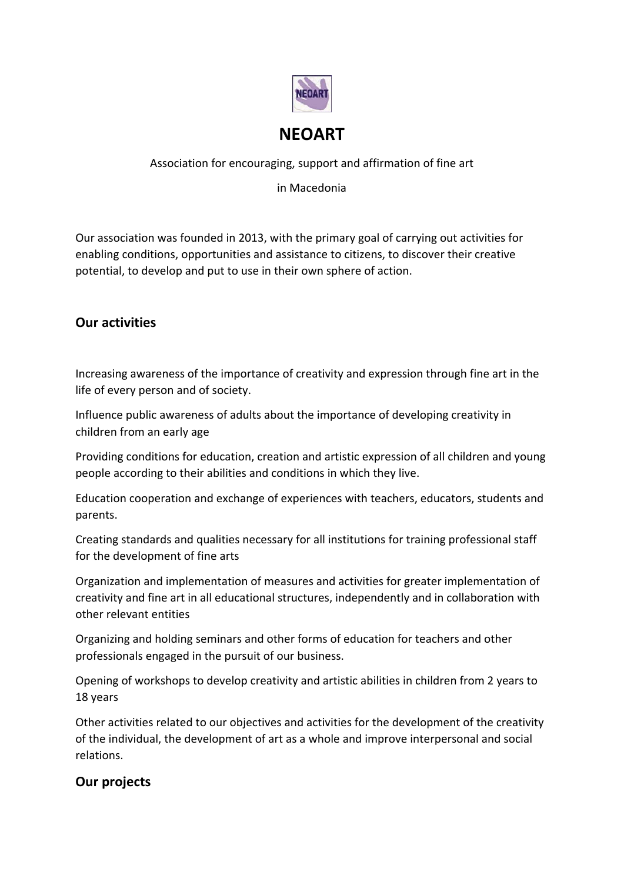

### Association for encouraging, support and affirmation of fine art

in Macedonia

Our association was founded in 2013, with the primary goal of carrying out activities for enabling conditions, opportunities and assistance to citizens, to discover their creative potential, to develop and put to use in their own sphere of action.

## **Our activities**

Increasing awareness of the importance of creativity and expression through fine art in the life of every person and of society.

Influence public awareness of adults about the importance of developing creativity in children from an early age

Providing conditions for education, creation and artistic expression of all children and young people according to their abilities and conditions in which they live.

Education cooperation and exchange of experiences with teachers, educators, students and parents.

Creating standards and qualities necessary for all institutions for training professional staff for the development of fine arts

Organization and implementation of measures and activities for greater implementation of creativity and fine art in all educational structures, independently and in collaboration with other relevant entities

Organizing and holding seminars and other forms of education for teachers and other professionals engaged in the pursuit of our business.

Opening of workshops to develop creativity and artistic abilities in children from 2 years to 18 years

Other activities related to our objectives and activities for the development of the creativity of the individual, the development of art as a whole and improve interpersonal and social relations.

## **Our projects**